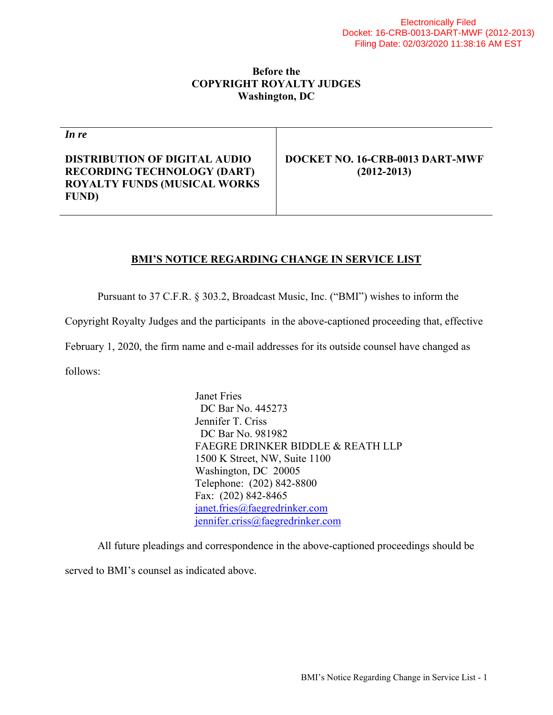## **Before the COPYRIGHT ROYALTY JUDGES Washington, DC**

*In re*

**DISTRIBUTION OF DIGITAL AUDIO RECORDING TECHNOLOGY (DART) ROYALTY FUNDS (MUSICAL WORKS FUND)** 

**DOCKET NO. 16-CRB-0013 DART-MWF (2012-2013)** 

## **BMI'S NOTICE REGARDING CHANGE IN SERVICE LIST**

Pursuant to 37 C.F.R. § 303.2, Broadcast Music, Inc. ("BMI") wishes to inform the

Copyright Royalty Judges and the participants in the above-captioned proceeding that, effective

February 1, 2020, the firm name and e-mail addresses for its outside counsel have changed as

follows:

 Janet Fries DC Bar No. 445273 Jennifer T. Criss DC Bar No. 981982 FAEGRE DRINKER BIDDLE & REATH LLP 1500 K Street, NW, Suite 1100 Washington, DC 20005 Telephone: (202) 842-8800 Fax: (202) 842-8465 janet.fries@faegredrinker.com jennifer.criss@faegredrinker.com

All future pleadings and correspondence in the above-captioned proceedings should be

served to BMI's counsel as indicated above.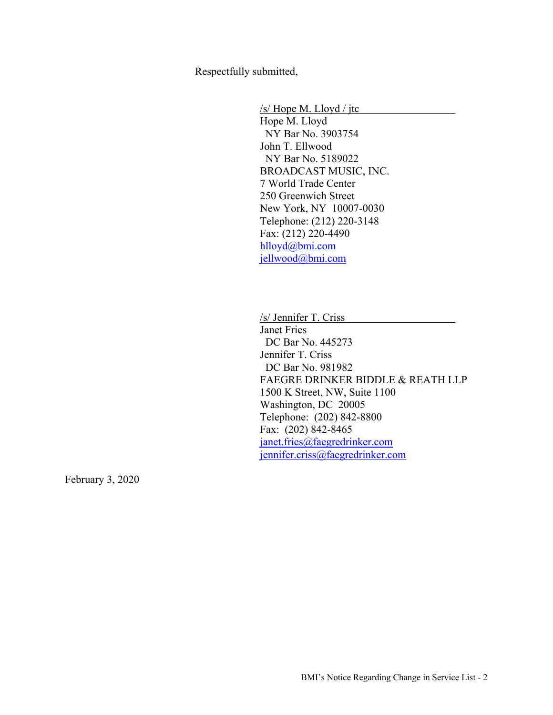Respectfully submitted,

 /s/ Hope M. Lloyd / jtc Hope M. Lloyd NY Bar No. 3903754 John T. Ellwood NY Bar No. 5189022 BROADCAST MUSIC, INC. 7 World Trade Center 250 Greenwich Street New York, NY 10007-0030 Telephone: (212) 220-3148 Fax: (212) 220-4490 hlloyd@bmi.com jellwood@bmi.com

/s/ Jennifer T. Criss Janet Fries DC Bar No. 445273 Jennifer T. Criss DC Bar No. 981982 FAEGRE DRINKER BIDDLE & REATH LLP 1500 K Street, NW, Suite 1100 Washington, DC 20005 Telephone: (202) 842-8800 Fax: (202) 842-8465 janet.fries@faegredrinker.com jennifer.criss@faegredrinker.com

February 3, 2020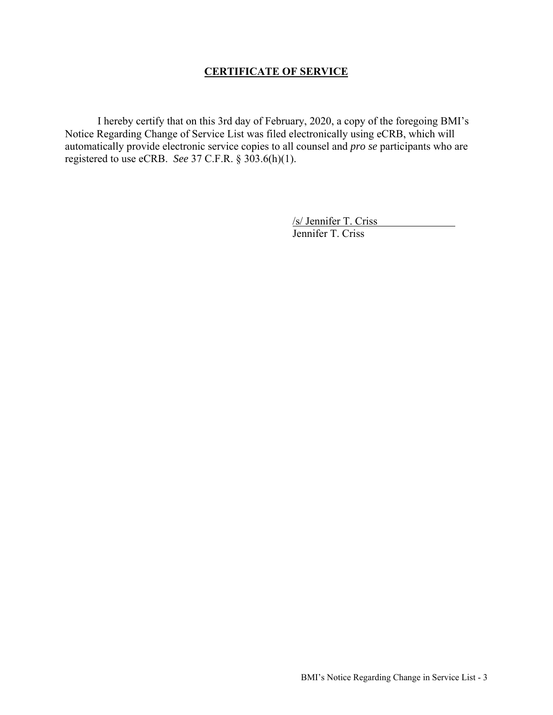## **CERTIFICATE OF SERVICE**

 I hereby certify that on this 3rd day of February, 2020, a copy of the foregoing BMI's Notice Regarding Change of Service List was filed electronically using eCRB, which will automatically provide electronic service copies to all counsel and *pro se* participants who are registered to use eCRB. *See* 37 C.F.R. § 303.6(h)(1).

> /s/ Jennifer T. Criss Jennifer T. Criss